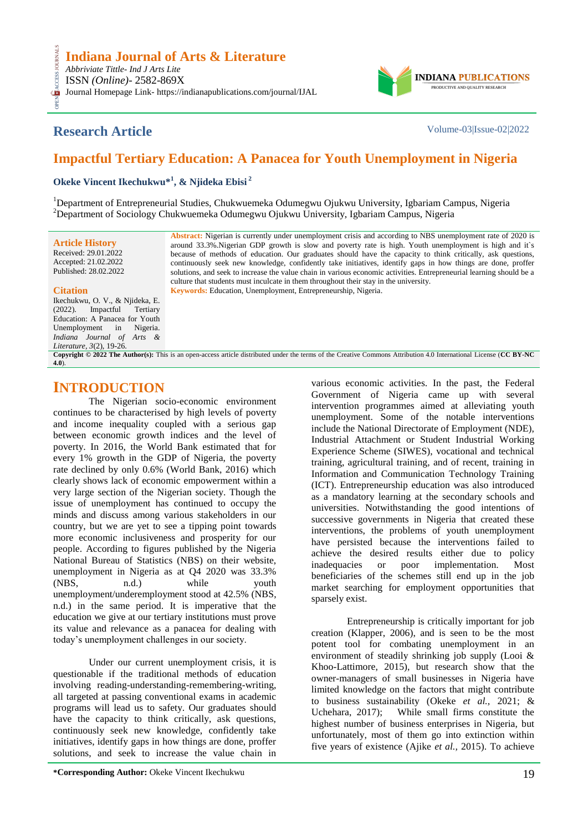

## **Research Article** Volume-03|Issue-02|2022

## **Impactful Tertiary Education: A Panacea for Youth Unemployment in Nigeria**

**Okeke Vincent Ikechukwu\*<sup>1</sup> , & Njideka Ebisi <sup>2</sup>**

<sup>1</sup>Department of Entrepreneurial Studies, Chukwuemeka Odumegwu Ojukwu University, Igbariam Campus, Nigeria <sup>2</sup>Department of Sociology Chukwuemeka Odumegwu Ojukwu University, Igbariam Campus, Nigeria

**Article History** Received: 29.01.2022 Accepted: 21.02.2022 Published: 28.02.2022 **Abstract:** Nigerian is currently under unemployment crisis and according to NBS unemployment rate of 2020 is around 33.3%.Nigerian GDP growth is slow and poverty rate is high. Youth unemployment is high and it's because of methods of education. Our graduates should have the capacity to think critically, ask questions, continuously seek new knowledge, confidently take initiatives, identify gaps in how things are done, proffer solutions, and seek to increase the value chain in various economic activities. Entrepreneurial learning should be a culture that students must inculcate in them throughout their stay in the university*.* **Keywords:** Education, Unemployment, Entrepreneurship, Nigeria.

#### **Citation**

CESS.

**[4.0](https://creativecommons.org/licenses/by-nc/4.0/)**).

Ikechukwu, O. V., & Njideka, E.<br>(2022). Impactful Tertiary  $(2022)$ . Impactful Education: A Panacea for Youth Unemployment in Nigeria. *Indiana Journal of Arts & Literature, 3*(2), 19-26. **Copyright © 2022 The Author(s):** This is an open-access article distributed under the terms of the Creative Commons Attribution 4.0 International License (**[CC BY-NC](https://creativecommons.org/licenses/by-nc/4.0/)** 

## **INTRODUCTION**

The Nigerian socio-economic environment continues to be characterised by high levels of poverty and income inequality coupled with a serious gap between economic growth indices and the level of poverty. In 2016, the World Bank estimated that for every 1% growth in the GDP of Nigeria, the poverty rate declined by only 0.6% (World Bank, 2016) which clearly shows lack of economic empowerment within a very large section of the Nigerian society. Though the issue of unemployment has continued to occupy the minds and discuss among various stakeholders in our country, but we are yet to see a tipping point towards more economic inclusiveness and prosperity for our people. According to figures published by the Nigeria National Bureau of Statistics (NBS) on their website, unemployment in Nigeria as at Q4 2020 was 33.3% (NBS, n.d.) while youth unemployment/underemployment stood at 42.5% (NBS, n.d.) in the same period. It is imperative that the education we give at our tertiary institutions must prove its value and relevance as a panacea for dealing with today"s unemployment challenges in our society.

Under our current unemployment crisis, it is questionable if the traditional methods of education involving reading-understanding-remembering-writing, all targeted at passing conventional exams in academic programs will lead us to safety. Our graduates should have the capacity to think critically, ask questions, continuously seek new knowledge, confidently take initiatives, identify gaps in how things are done, proffer solutions, and seek to increase the value chain in

include the National Directorate of Employment (NDE), Industrial Attachment or Student Industrial Working Experience Scheme (SIWES), vocational and technical training, agricultural training, and of recent, training in Information and Communication Technology Training (ICT). Entrepreneurship education was also introduced as a mandatory learning at the secondary schools and universities. Notwithstanding the good intentions of successive governments in Nigeria that created these interventions, the problems of youth unemployment have persisted because the interventions failed to achieve the desired results either due to policy inadequacies or poor implementation. Most beneficiaries of the schemes still end up in the job market searching for employment opportunities that sparsely exist. Entrepreneurship is critically important for job

various economic activities. In the past, the Federal Government of Nigeria came up with several intervention programmes aimed at alleviating youth unemployment. Some of the notable interventions

creation (Klapper, 2006), and is seen to be the most potent tool for combating unemployment in an environment of steadily shrinking job supply (Looi & Khoo-Lattimore, 2015), but research show that the owner-managers of small businesses in Nigeria have limited knowledge on the factors that might contribute to business sustainability (Okeke *et al.,* 2021; & Uchehara, 2017); While small firms constitute the highest number of business enterprises in Nigeria, but unfortunately, most of them go into extinction within five years of existence (Ajike *et al.,* 2015). To achieve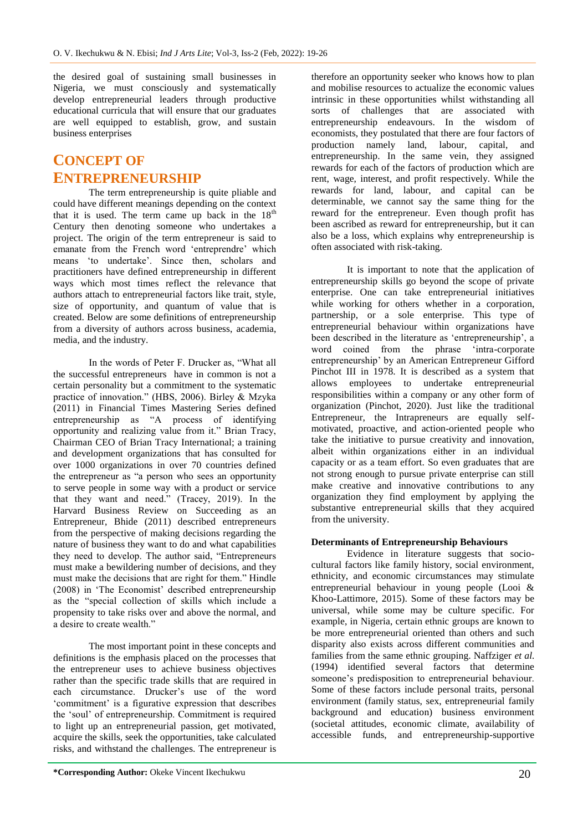the desired goal of sustaining small businesses in Nigeria, we must consciously and systematically develop entrepreneurial leaders through productive educational curricula that will ensure that our graduates are well equipped to establish, grow, and sustain business enterprises

# **CONCEPT OF ENTREPRENEURSHIP**

The term entrepreneurship is quite pliable and could have different meanings depending on the context that it is used. The term came up back in the  $18<sup>th</sup>$ Century then denoting someone who undertakes a project. The origin of the term entrepreneur is said to emanate from the French word "entreprendre" which means 'to undertake'. Since then, scholars and practitioners have defined entrepreneurship in different ways which most times reflect the relevance that authors attach to entrepreneurial factors like trait, style, size of opportunity, and quantum of value that is created. Below are some definitions of entrepreneurship from a diversity of authors across business, academia, media, and the industry.

In the words of Peter F. Drucker as, "What all the successful entrepreneurs have in common is not a certain personality but a commitment to the systematic practice of innovation." (HBS, 2006). Birley & Mzyka (2011) in Financial Times Mastering Series defined entrepreneurship as "A process of identifying opportunity and realizing value from it." Brian Tracy, Chairman CEO of Brian Tracy International; a training and development organizations that has consulted for over 1000 organizations in over 70 countries defined the entrepreneur as "a person who sees an opportunity to serve people in some way with a product or service that they want and need." (Tracey, 2019). In the Harvard Business Review on Succeeding as an Entrepreneur, Bhide (2011) described entrepreneurs from the perspective of making decisions regarding the nature of business they want to do and what capabilities they need to develop. The author said, "Entrepreneurs must make a bewildering number of decisions, and they must make the decisions that are right for them." Hindle (2008) in "The Economist" described entrepreneurship as the "special collection of skills which include a propensity to take risks over and above the normal, and a desire to create wealth."

The most important point in these concepts and definitions is the emphasis placed on the processes that the entrepreneur uses to achieve business objectives rather than the specific trade skills that are required in each circumstance. Drucker's use of the word 'commitment' is a figurative expression that describes the "soul" of entrepreneurship. Commitment is required to light up an entrepreneurial passion, get motivated, acquire the skills, seek the opportunities, take calculated risks, and withstand the challenges. The entrepreneur is

therefore an opportunity seeker who knows how to plan and mobilise resources to actualize the economic values intrinsic in these opportunities whilst withstanding all sorts of challenges that are associated with entrepreneurship endeavours. In the wisdom of economists, they postulated that there are four factors of production namely land, labour, capital, and entrepreneurship. In the same vein, they assigned rewards for each of the factors of production which are rent, wage, interest, and profit respectively. While the rewards for land, labour, and capital can be determinable, we cannot say the same thing for the reward for the entrepreneur. Even though profit has been ascribed as reward for entrepreneurship, but it can also be a loss, which explains why entrepreneurship is often associated with risk-taking.

It is important to note that the application of entrepreneurship skills go beyond the scope of private enterprise. One can take entrepreneurial initiatives while working for others whether in a corporation, partnership, or a sole enterprise. This type of entrepreneurial behaviour within organizations have been described in the literature as 'entrepreneurship', a word coined from the phrase "intra-corporate entrepreneurship" by an American Entrepreneur Gifford Pinchot III in 1978. It is described as a system that allows employees to undertake entrepreneurial responsibilities within a company or any other form of organization (Pinchot, 2020). Just like the traditional Entrepreneur, the Intrapreneurs are equally selfmotivated, proactive, and action-oriented people who take the initiative to pursue creativity and innovation, albeit within organizations either in an individual capacity or as a team effort. So even graduates that are not strong enough to pursue private enterprise can still make creative and innovative contributions to any organization they find employment by applying the substantive entrepreneurial skills that they acquired from the university.

### **Determinants of Entrepreneurship Behaviours**

Evidence in literature suggests that sociocultural factors like family history, social environment, ethnicity, and economic circumstances may stimulate entrepreneurial behaviour in young people (Looi & Khoo-Lattimore, 2015). Some of these factors may be universal, while some may be culture specific. For example, in Nigeria, certain ethnic groups are known to be more entrepreneurial oriented than others and such disparity also exists across different communities and families from the same ethnic grouping. Naffziger *et al.* (1994) identified several factors that determine someone's predisposition to entrepreneurial behaviour. Some of these factors include personal traits, personal environment (family status, sex, entrepreneurial family background and education) business environment (societal attitudes, economic climate, availability of accessible funds, and entrepreneurship-supportive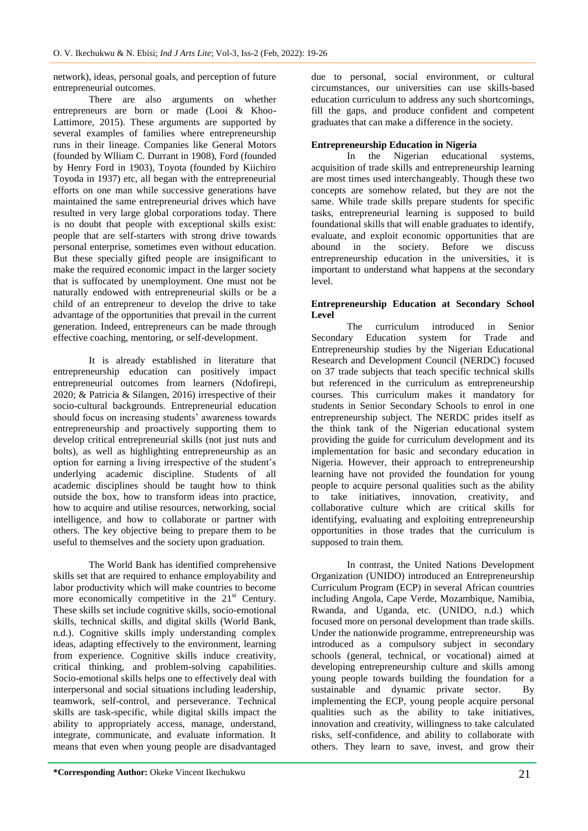network), ideas, personal goals, and perception of future entrepreneurial outcomes.

There are also arguments on whether entrepreneurs are born or made (Looi & Khoo-Lattimore, 2015). These arguments are supported by several examples of families where entrepreneurship runs in their lineage. Companies like General Motors (founded by Wlliam C. Durrant in 1908), Ford (founded by Henry Ford in 1903), Toyota (founded by Kiichiro Toyoda in 1937) etc, all began with the entrepreneurial efforts on one man while successive generations have maintained the same entrepreneurial drives which have resulted in very large global corporations today. There is no doubt that people with exceptional skills exist: people that are self-starters with strong drive towards personal enterprise, sometimes even without education. But these specially gifted people are insignificant to make the required economic impact in the larger society that is suffocated by unemployment. One must not be naturally endowed with entrepreneurial skills or be a child of an entrepreneur to develop the drive to take advantage of the opportunities that prevail in the current generation. Indeed, entrepreneurs can be made through effective coaching, mentoring, or self-development.

It is already established in literature that entrepreneurship education can positively impact entrepreneurial outcomes from learners (Ndofirepi, 2020; & Patricia & Silangen, 2016) irrespective of their socio-cultural backgrounds. Entrepreneurial education should focus on increasing students' awareness towards entrepreneurship and proactively supporting them to develop critical entrepreneurial skills (not just nuts and bolts), as well as highlighting entrepreneurship as an option for earning a living irrespective of the student"s underlying academic discipline. Students of all academic disciplines should be taught how to think outside the box, how to transform ideas into practice, how to acquire and utilise resources, networking, social intelligence, and how to collaborate or partner with others. The key objective being to prepare them to be useful to themselves and the society upon graduation.

The World Bank has identified comprehensive skills set that are required to enhance employability and labor productivity which will make countries to become more economically competitive in the  $21<sup>st</sup>$  Century. These skills set include cognitive skills, socio-emotional skills, technical skills, and digital skills (World Bank, n.d.). Cognitive skills imply understanding complex ideas, adapting effectively to the environment, learning from experience. Cognitive skills induce creativity, critical thinking, and problem-solving capabilities. Socio-emotional skills helps one to effectively deal with interpersonal and social situations including leadership, teamwork, self-control, and perseverance. Technical skills are task-specific, while digital skills impact the ability to appropriately access, manage, understand, integrate, communicate, and evaluate information. It means that even when young people are disadvantaged

due to personal, social environment, or cultural circumstances, our universities can use skills-based education curriculum to address any such shortcomings, fill the gaps, and produce confident and competent graduates that can make a difference in the society.

# **Entrepreneurship Education in Nigeria**

educational systems. acquisition of trade skills and entrepreneurship learning are most times used interchangeably. Though these two concepts are somehow related, but they are not the same. While trade skills prepare students for specific tasks, entrepreneurial learning is supposed to build foundational skills that will enable graduates to identify, evaluate, and exploit economic opportunities that are abound in the society. Before we discuss entrepreneurship education in the universities, it is important to understand what happens at the secondary level.

### **Entrepreneurship Education at Secondary School Level**

The curriculum introduced in Senior Secondary Education system for Trade and Entrepreneurship studies by the Nigerian Educational Research and Development Council (NERDC) focused on 37 trade subjects that teach specific technical skills but referenced in the curriculum as entrepreneurship courses. This curriculum makes it mandatory for students in Senior Secondary Schools to enrol in one entrepreneurship subject. The NERDC prides itself as the think tank of the Nigerian educational system providing the guide for curriculum development and its implementation for basic and secondary education in Nigeria. However, their approach to entrepreneurship learning have not provided the foundation for young people to acquire personal qualities such as the ability to take initiatives, innovation, creativity, and collaborative culture which are critical skills for identifying, evaluating and exploiting entrepreneurship opportunities in those trades that the curriculum is supposed to train them.

In contrast, the United Nations Development Organization (UNIDO) introduced an Entrepreneurship Curriculum Program (ECP) in several African countries including Angola, Cape Verde, Mozambique, Namibia, Rwanda, and Uganda, etc. (UNIDO, n.d.) which focused more on personal development than trade skills. Under the nationwide programme, entrepreneurship was introduced as a compulsory subject in secondary schools (general, technical, or vocational) aimed at developing entrepreneurship culture and skills among young people towards building the foundation for a sustainable and dynamic private sector. By implementing the ECP, young people acquire personal qualities such as the ability to take initiatives, innovation and creativity, willingness to take calculated risks, self-confidence, and ability to collaborate with others. They learn to save, invest, and grow their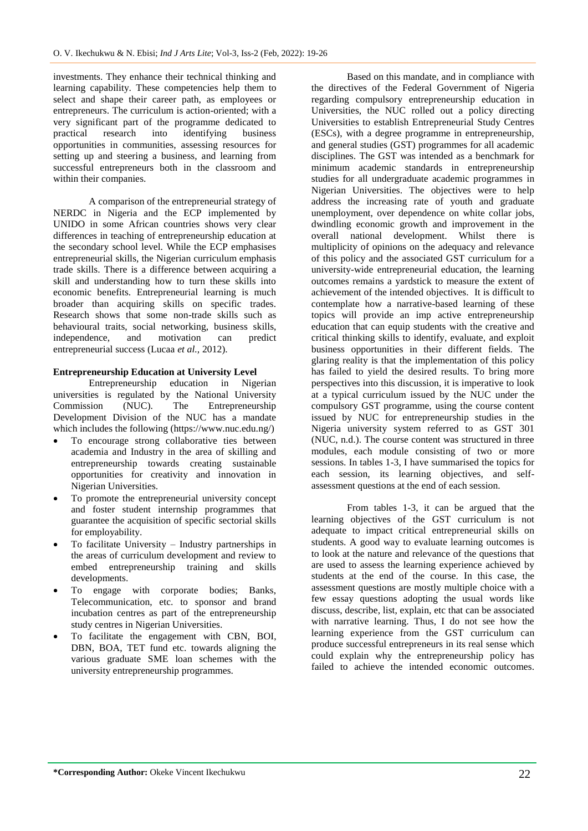investments. They enhance their technical thinking and learning capability. These competencies help them to select and shape their career path, as employees or entrepreneurs. The curriculum is action-oriented; with a very significant part of the programme dedicated to practical research into identifying business opportunities in communities, assessing resources for setting up and steering a business, and learning from successful entrepreneurs both in the classroom and within their companies.

A comparison of the entrepreneurial strategy of NERDC in Nigeria and the ECP implemented by UNIDO in some African countries shows very clear differences in teaching of entrepreneurship education at the secondary school level. While the ECP emphasises entrepreneurial skills, the Nigerian curriculum emphasis trade skills. There is a difference between acquiring a skill and understanding how to turn these skills into economic benefits. Entrepreneurial learning is much broader than acquiring skills on specific trades. Research shows that some non-trade skills such as behavioural traits, social networking, business skills, independence, and motivation can predict entrepreneurial success (Lucaa *et al.,* 2012).

### **Entrepreneurship Education at University Level**

Entrepreneurship education in Nigerian universities is regulated by the National University Commission (NUC). The Entrepreneurship Development Division of the NUC has a mandate which includes the following (https://www.nuc.edu.ng/)

- To encourage strong collaborative ties between academia and Industry in the area of skilling and entrepreneurship towards creating sustainable opportunities for creativity and innovation in Nigerian Universities.
- To promote the entrepreneurial university concept and foster student internship programmes that guarantee the acquisition of specific sectorial skills for employability.
- To facilitate University Industry partnerships in the areas of curriculum development and review to embed entrepreneurship training and skills developments.
- To engage with corporate bodies; Banks, Telecommunication, etc. to sponsor and brand incubation centres as part of the entrepreneurship study centres in Nigerian Universities.
- To facilitate the engagement with CBN, BOI, DBN, BOA, TET fund etc. towards aligning the various graduate SME loan schemes with the university entrepreneurship programmes.

Based on this mandate, and in compliance with the directives of the Federal Government of Nigeria regarding compulsory entrepreneurship education in Universities, the NUC rolled out a policy directing Universities to establish Entrepreneurial Study Centres (ESCs), with a degree programme in entrepreneurship, and general studies (GST) programmes for all academic disciplines. The GST was intended as a benchmark for minimum academic standards in entrepreneurship studies for all undergraduate academic programmes in Nigerian Universities. The objectives were to help address the increasing rate of youth and graduate unemployment, over dependence on white collar jobs, dwindling economic growth and improvement in the overall national development. Whilst there is multiplicity of opinions on the adequacy and relevance of this policy and the associated GST curriculum for a university-wide entrepreneurial education, the learning outcomes remains a yardstick to measure the extent of achievement of the intended objectives. It is difficult to contemplate how a narrative-based learning of these topics will provide an imp active entrepreneurship education that can equip students with the creative and critical thinking skills to identify, evaluate, and exploit business opportunities in their different fields. The glaring reality is that the implementation of this policy has failed to yield the desired results. To bring more perspectives into this discussion, it is imperative to look at a typical curriculum issued by the NUC under the compulsory GST programme, using the course content issued by NUC for entrepreneurship studies in the Nigeria university system referred to as GST 301 (NUC, n.d.). The course content was structured in three modules, each module consisting of two or more sessions. In tables 1-3, I have summarised the topics for each session, its learning objectives, and selfassessment questions at the end of each session.

From tables 1-3, it can be argued that the learning objectives of the GST curriculum is not adequate to impact critical entrepreneurial skills on students. A good way to evaluate learning outcomes is to look at the nature and relevance of the questions that are used to assess the learning experience achieved by students at the end of the course. In this case, the assessment questions are mostly multiple choice with a few essay questions adopting the usual words like discuss, describe, list, explain, etc that can be associated with narrative learning. Thus, I do not see how the learning experience from the GST curriculum can produce successful entrepreneurs in its real sense which could explain why the entrepreneurship policy has failed to achieve the intended economic outcomes.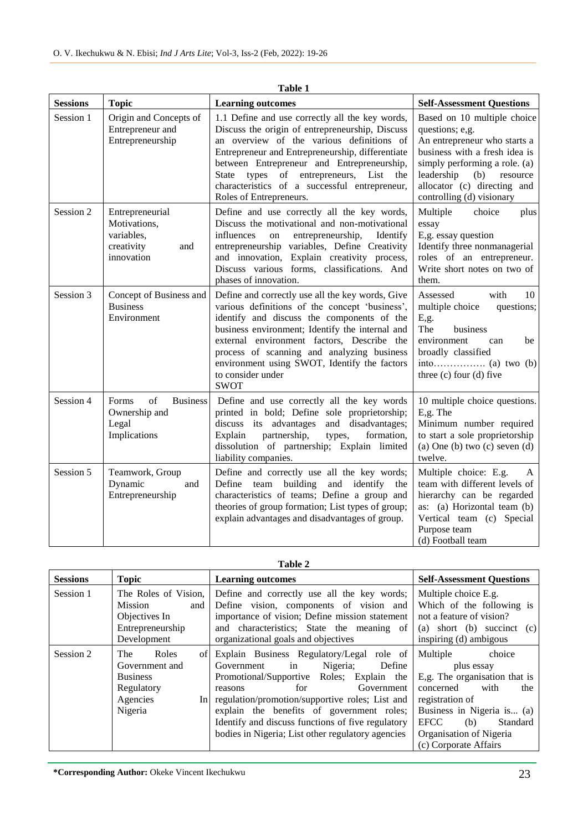| Table 1         |                                                                                  |                                                                                                                                                                                                                                                                                                                                                                                         |                                                                                                                                                                                                                                               |  |  |
|-----------------|----------------------------------------------------------------------------------|-----------------------------------------------------------------------------------------------------------------------------------------------------------------------------------------------------------------------------------------------------------------------------------------------------------------------------------------------------------------------------------------|-----------------------------------------------------------------------------------------------------------------------------------------------------------------------------------------------------------------------------------------------|--|--|
| <b>Sessions</b> | <b>Topic</b>                                                                     | <b>Learning outcomes</b>                                                                                                                                                                                                                                                                                                                                                                | <b>Self-Assessment Questions</b>                                                                                                                                                                                                              |  |  |
| Session 1       | Origin and Concepts of<br>Entrepreneur and<br>Entrepreneurship                   | 1.1 Define and use correctly all the key words,<br>Discuss the origin of entrepreneurship, Discuss<br>an overview of the various definitions of<br>Entrepreneur and Entrepreneurship, differentiate<br>between Entrepreneur and Entrepreneurship,<br>types of entrepreneurs,<br>List<br><b>State</b><br>the<br>characteristics of a successful entrepreneur,<br>Roles of Entrepreneurs. | Based on 10 multiple choice<br>questions; e,g.<br>An entrepreneur who starts a<br>business with a fresh idea is<br>simply performing a role. (a)<br>leadership<br>(b)<br>resource<br>allocator (c) directing and<br>controlling (d) visionary |  |  |
| Session 2       | Entrepreneurial<br>Motivations,<br>variables,<br>creativity<br>and<br>innovation | Define and use correctly all the key words,<br>Discuss the motivational and non-motivational<br>influences<br>entrepreneurship,<br>Identify<br>on<br>entrepreneurship variables, Define Creativity<br>and innovation, Explain creativity process,<br>Discuss various forms, classifications. And<br>phases of innovation.                                                               | Multiple<br>choice<br>plus<br>essay<br>E,g. essay question<br>Identify three nonmanagerial<br>roles of an entrepreneur.<br>Write short notes on two of<br>them.                                                                               |  |  |
| Session 3       | Concept of Business and<br><b>Business</b><br>Environment                        | Define and correctly use all the key words, Give<br>various definitions of the concept 'business',<br>identify and discuss the components of the<br>business environment; Identify the internal and<br>external environment factors, Describe the<br>process of scanning and analyzing business<br>environment using SWOT, Identify the factors<br>to consider under<br><b>SWOT</b>     | Assessed<br>with<br>10<br>multiple choice<br>questions;<br>E,g.<br>The<br>business<br>environment<br>can<br>be<br>broadly classified<br>three $(c)$ four $(d)$ five                                                                           |  |  |
| Session 4       | of<br><b>Business</b><br>Forms<br>Ownership and<br>Legal<br>Implications         | Define and use correctly all the key words<br>printed in bold; Define sole proprietorship;<br>discuss its advantages and disadvantages;<br>partnership,<br>Explain<br>types,<br>formation,<br>dissolution of partnership; Explain limited<br>liability companies.                                                                                                                       | 10 multiple choice questions.<br>E,g. The<br>Minimum number required<br>to start a sole proprietorship<br>(a) One (b) two $(c)$ seven $(d)$<br>twelve.                                                                                        |  |  |
| Session 5       | Teamwork, Group<br>Dynamic<br>and<br>Entrepreneurship                            | Define and correctly use all the key words;<br>Define team building<br>and identify the<br>characteristics of teams; Define a group and<br>theories of group formation; List types of group;<br>explain advantages and disadvantages of group.                                                                                                                                          | Multiple choice: E.g.<br>$\mathsf{A}$<br>team with different levels of<br>hierarchy can be regarded<br>as: (a) Horizontal team (b)<br>Vertical team (c) Special<br>Purpose team<br>(d) Football team                                          |  |  |

**Table 1**

**Table 2**

| <b>Sessions</b> | <b>Topic</b>                                                                                              | <b>Learning outcomes</b>                                                                                                                                                                                                                                                                                                                                                   | <b>Self-Assessment Questions</b>                                                                                                                                                                                                     |
|-----------------|-----------------------------------------------------------------------------------------------------------|----------------------------------------------------------------------------------------------------------------------------------------------------------------------------------------------------------------------------------------------------------------------------------------------------------------------------------------------------------------------------|--------------------------------------------------------------------------------------------------------------------------------------------------------------------------------------------------------------------------------------|
| Session 1       | The Roles of Vision,<br>Mission<br>and<br>Objectives In<br>Entrepreneurship<br>Development                | Define and correctly use all the key words;<br>Define vision, components of vision and<br>importance of vision; Define mission statement<br>and characteristics; State the meaning of<br>organizational goals and objectives                                                                                                                                               | Multiple choice E.g.<br>Which of the following is<br>not a feature of vision?<br>(a) short (b) succinct (c)<br>inspiring (d) ambigous                                                                                                |
| Session 2       | Roles<br><b>The</b><br>of<br>Government and<br><b>Business</b><br>Regulatory<br>Agencies<br>In<br>Nigeria | Explain Business Regulatory/Legal role of<br>Nigeria;<br>Define<br>Government<br>in<br>Promotional/Supportive Roles; Explain the<br>Government<br>for<br>reasons<br>regulation/promotion/supportive roles; List and<br>explain the benefits of government roles;<br>Identify and discuss functions of five regulatory<br>bodies in Nigeria; List other regulatory agencies | Multiple<br>choice<br>plus essay<br>E,g. The organisation that is<br>with<br>the<br>concerned<br>registration of<br>Business in Nigeria is (a)<br><b>EFCC</b><br>(b)<br>Standard<br>Organisation of Nigeria<br>(c) Corporate Affairs |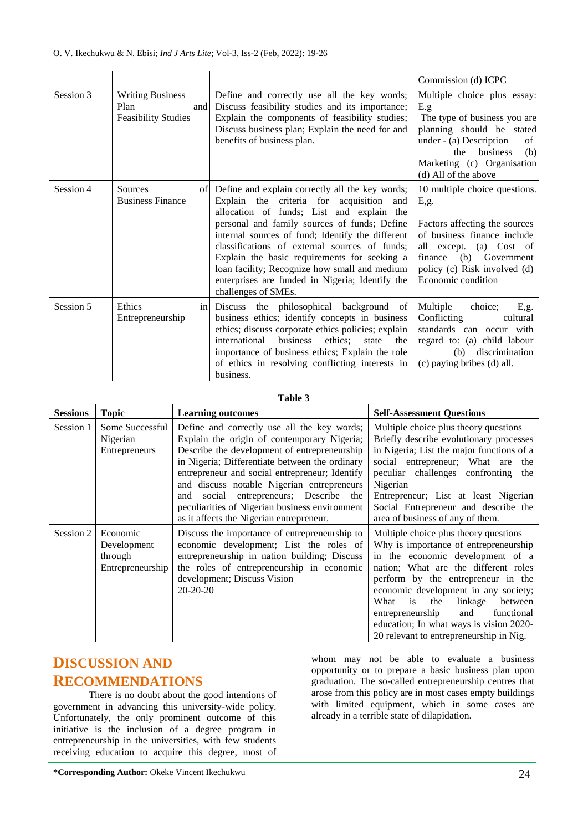|           |                                                                      |                                                                                                                                                                                                                                                                                                                                                                                                                                                                                | Commission (d) ICPC                                                                                                                                                                                                 |
|-----------|----------------------------------------------------------------------|--------------------------------------------------------------------------------------------------------------------------------------------------------------------------------------------------------------------------------------------------------------------------------------------------------------------------------------------------------------------------------------------------------------------------------------------------------------------------------|---------------------------------------------------------------------------------------------------------------------------------------------------------------------------------------------------------------------|
| Session 3 | <b>Writing Business</b><br>Plan<br>and<br><b>Feasibility Studies</b> | Define and correctly use all the key words;<br>Discuss feasibility studies and its importance;<br>Explain the components of feasibility studies;<br>Discuss business plan; Explain the need for and<br>benefits of business plan.                                                                                                                                                                                                                                              | Multiple choice plus essay:<br>E.g<br>The type of business you are<br>planning should be stated<br>under - (a) Description<br>of<br>business<br>the<br>(b)<br>Marketing (c) Organisation<br>(d) All of the above    |
| Session 4 | Sources<br><b>Business Finance</b>                                   | of Define and explain correctly all the key words;<br>Explain the criteria for acquisition<br>and<br>allocation of funds; List and explain the<br>personal and family sources of funds; Define<br>internal sources of fund; Identify the different<br>classifications of external sources of funds;<br>Explain the basic requirements for seeking a<br>loan facility; Recognize how small and medium<br>enterprises are funded in Nigeria; Identify the<br>challenges of SMEs. | 10 multiple choice questions.<br>E,g.<br>Factors affecting the sources<br>of business finance include<br>all except. (a) Cost of<br>(b) Government<br>finance<br>policy (c) Risk involved (d)<br>Economic condition |
| Session 5 | Ethics<br>in<br>Entrepreneurship                                     | Discuss the philosophical background of<br>business ethics; identify concepts in business<br>ethics; discuss corporate ethics policies; explain<br>business<br>ethics;<br>international<br>state<br>the<br>importance of business ethics; Explain the role<br>of ethics in resolving conflicting interests in<br>business.                                                                                                                                                     | Multiple<br>choice;<br>E, g.<br>Conflicting<br>cultural<br>standards can occur with<br>regard to: (a) child labour<br>discrimination<br>(b)<br>(c) paying bribes (d) all.                                           |

**Table 3**

| <b>Sessions</b> | <b>Topic</b>                                           | <b>Learning outcomes</b>                                                                                                                                                                                                                                                                                                                                                                                                                | <b>Self-Assessment Questions</b>                                                                                                                                                                                                                                                                                                                                                                                   |
|-----------------|--------------------------------------------------------|-----------------------------------------------------------------------------------------------------------------------------------------------------------------------------------------------------------------------------------------------------------------------------------------------------------------------------------------------------------------------------------------------------------------------------------------|--------------------------------------------------------------------------------------------------------------------------------------------------------------------------------------------------------------------------------------------------------------------------------------------------------------------------------------------------------------------------------------------------------------------|
| Session 1       | Some Successful<br>Nigerian<br>Entrepreneurs           | Define and correctly use all the key words;<br>Explain the origin of contemporary Nigeria;<br>Describe the development of entrepreneurship<br>in Nigeria; Differentiate between the ordinary<br>entrepreneur and social entrepreneur; Identify<br>and discuss notable Nigerian entrepreneurs<br>social entrepreneurs; Describe the<br>and<br>peculiarities of Nigerian business environment<br>as it affects the Nigerian entrepreneur. | Multiple choice plus theory questions<br>Briefly describe evolutionary processes<br>in Nigeria; List the major functions of a<br>social entrepreneur; What are<br>the<br>peculiar challenges confronting the<br>Nigerian<br>Entrepreneur; List at least Nigerian<br>Social Entrepreneur and describe the<br>area of business of any of them.                                                                       |
| Session 2       | Economic<br>Development<br>through<br>Entrepreneurship | Discuss the importance of entrepreneurship to<br>economic development; List the roles of<br>entrepreneurship in nation building; Discuss<br>the roles of entrepreneurship in economic<br>development; Discuss Vision<br>$20 - 20 - 20$                                                                                                                                                                                                  | Multiple choice plus theory questions<br>Why is importance of entrepreneurship<br>in the economic development of a<br>nation; What are the different roles<br>perform by the entrepreneur in the<br>economic development in any society;<br>What<br>is<br>the<br>linkage<br>between<br>entrepreneurship<br>and<br>functional<br>education; In what ways is vision 2020-<br>20 relevant to entrepreneurship in Nig. |

# **DISCUSSION AND RECOMMENDATIONS**

There is no doubt about the good intentions of government in advancing this university-wide policy. Unfortunately, the only prominent outcome of this initiative is the inclusion of a degree program in entrepreneurship in the universities, with few students receiving education to acquire this degree, most of whom may not be able to evaluate a business opportunity or to prepare a basic business plan upon graduation. The so-called entrepreneurship centres that arose from this policy are in most cases empty buildings with limited equipment, which in some cases are already in a terrible state of dilapidation.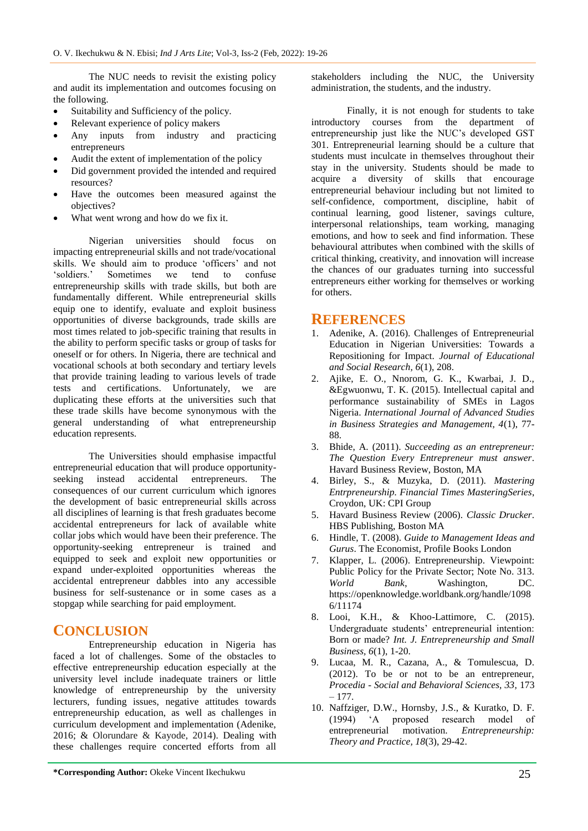The NUC needs to revisit the existing policy and audit its implementation and outcomes focusing on the following.

- Suitability and Sufficiency of the policy.
- Relevant experience of policy makers
- Any inputs from industry and practicing entrepreneurs
- Audit the extent of implementation of the policy
- Did government provided the intended and required resources?
- Have the outcomes been measured against the objectives?
- What went wrong and how do we fix it.

Nigerian universities should focus on impacting entrepreneurial skills and not trade/vocational skills. We should aim to produce 'officers' and not "soldiers." Sometimes we tend to confuse entrepreneurship skills with trade skills, but both are fundamentally different. While entrepreneurial skills equip one to identify, evaluate and exploit business opportunities of diverse backgrounds, trade skills are most times related to job-specific training that results in the ability to perform specific tasks or group of tasks for oneself or for others. In Nigeria, there are technical and vocational schools at both secondary and tertiary levels that provide training leading to various levels of trade tests and certifications. Unfortunately, we are duplicating these efforts at the universities such that these trade skills have become synonymous with the general understanding of what entrepreneurship education represents.

The Universities should emphasise impactful entrepreneurial education that will produce opportunityseeking instead accidental entrepreneurs. The consequences of our current curriculum which ignores the development of basic entrepreneurial skills across all disciplines of learning is that fresh graduates become accidental entrepreneurs for lack of available white collar jobs which would have been their preference. The opportunity-seeking entrepreneur is trained and equipped to seek and exploit new opportunities or expand under-exploited opportunities whereas the accidental entrepreneur dabbles into any accessible business for self-sustenance or in some cases as a stopgap while searching for paid employment.

## **CONCLUSION**

Entrepreneurship education in Nigeria has faced a lot of challenges. Some of the obstacles to effective entrepreneurship education especially at the university level include inadequate trainers or little knowledge of entrepreneurship by the university lecturers, funding issues, negative attitudes towards entrepreneurship education, as well as challenges in curriculum development and implementation (Adenike, 2016; & Olorundare & Kayode, 2014). Dealing with these challenges require concerted efforts from all stakeholders including the NUC, the University administration, the students, and the industry.

Finally, it is not enough for students to take introductory courses from the department of entrepreneurship just like the NUC"s developed GST 301. Entrepreneurial learning should be a culture that students must inculcate in themselves throughout their stay in the university. Students should be made to acquire a diversity of skills that encourage entrepreneurial behaviour including but not limited to self-confidence, comportment, discipline, habit of continual learning, good listener, savings culture, interpersonal relationships, team working, managing emotions, and how to seek and find information. These behavioural attributes when combined with the skills of critical thinking, creativity, and innovation will increase the chances of our graduates turning into successful entrepreneurs either working for themselves or working for others.

## **REFERENCES**

- 1. Adenike, A. (2016). Challenges of Entrepreneurial Education in Nigerian Universities: Towards a Repositioning for Impact. *Journal of Educational and Social Research, 6*(1), 208.
- 2. Ajike, E. O., Nnorom, G. K., Kwarbai, J. D., &Egwuonwu, T. K. (2015). Intellectual capital and performance sustainability of SMEs in Lagos Nigeria. *International Journal of Advanced Studies in Business Strategies and Management, 4*(1), 77- 88.
- 3. Bhide, A. (2011). *Succeeding as an entrepreneur: The Question Every Entrepreneur must answer*. Havard Business Review, Boston, MA
- 4. Birley, S., & Muzyka, D. (2011). *Mastering Entrpreneurship. Financial Times MasteringSeries*, Croydon, UK: CPI Group
- 5. Havard Business Review (2006). *Classic Drucker*. HBS Publishing, Boston MA
- 6. Hindle, T. (2008). *Guide to Management Ideas and Gurus*. The Economist, Profile Books London
- 7. Klapper, L. (2006). Entrepreneurship. Viewpoint: Public Policy for the Private Sector; Note No. 313. *World Bank*, Washington, DC. https://openknowledge.worldbank.org/handle/1098 6/11174
- 8. Looi, K.H., & Khoo-Lattimore, C. (2015). Undergraduate students' entrepreneurial intention: Born or made? *Int. J. Entrepreneurship and Small Business, 6*(1), 1-20.
- 9. Lucaa, M. R., Cazana, A., & Tomulescua, D. (2012). To be or not to be an entrepreneur, *Procedia - Social and Behavioral Sciences, 33*, 173 – 177.
- 10. Naffziger, D.W., Hornsby, J.S., & Kuratko, D. F. (1994) "A proposed research model of entrepreneurial motivation. *Entrepreneurship: Theory and Practice, 18*(3), 29-42.